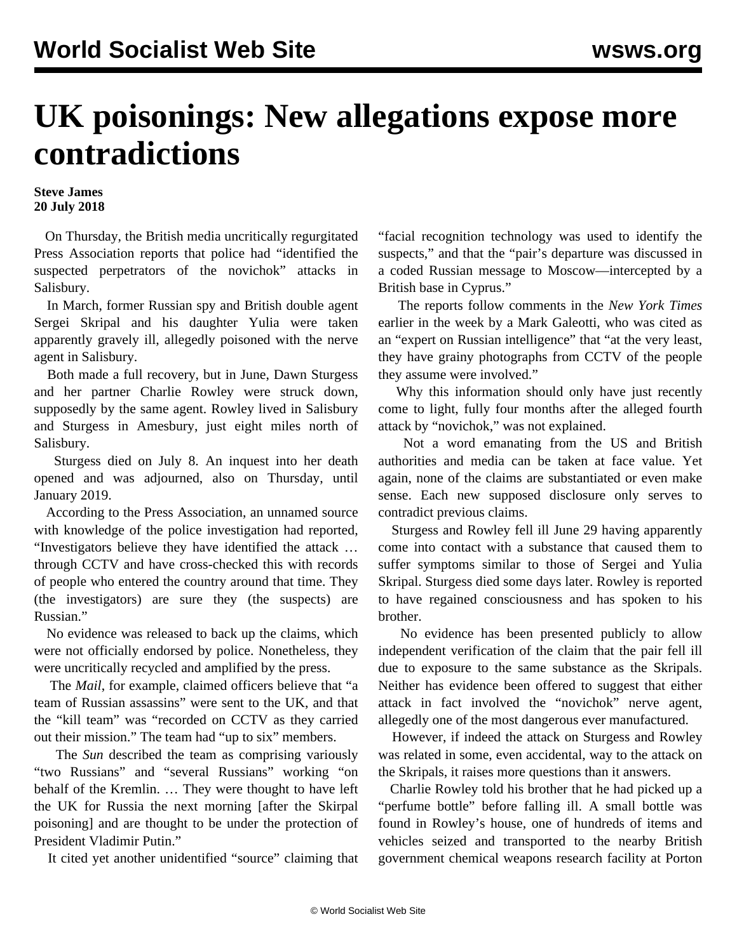## **UK poisonings: New allegations expose more contradictions**

## **Steve James 20 July 2018**

 On Thursday, the British media uncritically regurgitated Press Association reports that police had "identified the suspected perpetrators of the novichok" attacks in Salisbury.

 In March, former Russian spy and British double agent Sergei Skripal and his daughter Yulia were taken apparently gravely ill, allegedly poisoned with the nerve agent in Salisbury.

 Both made a full recovery, but in June, Dawn Sturgess and her partner Charlie Rowley were struck down, supposedly by the same agent. Rowley lived in Salisbury and Sturgess in Amesbury, just eight miles north of Salisbury.

 Sturgess died on July 8. An inquest into her death opened and was adjourned, also on Thursday, until January 2019.

 According to the Press Association, an unnamed source with knowledge of the police investigation had reported, "Investigators believe they have identified the attack … through CCTV and have cross-checked this with records of people who entered the country around that time. They (the investigators) are sure they (the suspects) are Russian."

 No evidence was released to back up the claims, which were not officially endorsed by police. Nonetheless, they were uncritically recycled and amplified by the press.

 The *Mail*, for example, claimed officers believe that "a team of Russian assassins" were sent to the UK, and that the "kill team" was "recorded on CCTV as they carried out their mission." The team had "up to six" members.

 The *Sun* described the team as comprising variously "two Russians" and "several Russians" working "on behalf of the Kremlin. … They were thought to have left the UK for Russia the next morning [after the Skirpal poisoning] and are thought to be under the protection of President Vladimir Putin."

It cited yet another unidentified "source" claiming that

"facial recognition technology was used to identify the suspects," and that the "pair's departure was discussed in a coded Russian message to Moscow—intercepted by a British base in Cyprus."

 The reports follow comments in the *New York Times* earlier in the week by a Mark Galeotti, who was cited as an "expert on Russian intelligence" that "at the very least, they have grainy photographs from CCTV of the people they assume were involved."

 Why this information should only have just recently come to light, fully four months after the alleged fourth attack by "novichok," was not explained.

 Not a word emanating from the US and British authorities and media can be taken at face value. Yet again, none of the claims are substantiated or even make sense. Each new supposed disclosure only serves to contradict previous claims.

 Sturgess and Rowley fell ill June 29 having apparently come into contact with a substance that caused them to suffer symptoms similar to those of Sergei and Yulia Skripal. Sturgess died some days later. Rowley is reported to have regained consciousness and has spoken to his brother.

 No evidence has been presented publicly to allow independent verification of the claim that the pair fell ill due to exposure to the same substance as the Skripals. Neither has evidence been offered to suggest that either attack in fact involved the "novichok" nerve agent, allegedly one of the most dangerous ever manufactured.

 However, if indeed the attack on Sturgess and Rowley was related in some, even accidental, way to the attack on the Skripals, it raises more questions than it answers.

 Charlie Rowley told his brother that he had picked up a "perfume bottle" before falling ill. A small bottle was found in Rowley's house, one of hundreds of items and vehicles seized and transported to the nearby British government chemical weapons research facility at Porton